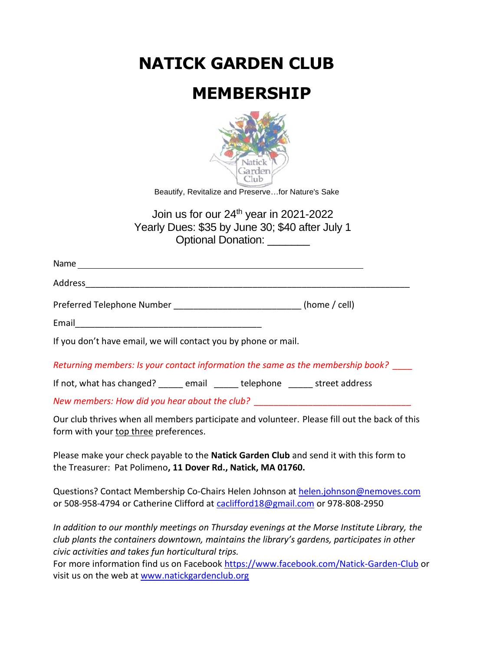**NATICK GARDEN CLUB**

## **MEMBERSHIP**



Beautify, Revitalize and Preserve…for Nature's Sake

Join us for our 24<sup>th</sup> year in 2021-2022 Yearly Dues: \$35 by June 30; \$40 after July 1 Optional Donation: \_\_\_\_\_\_\_\_

| Preferred Telephone Number _________________________________(home / cell)                     |  |  |  |  |
|-----------------------------------------------------------------------------------------------|--|--|--|--|
|                                                                                               |  |  |  |  |
| If you don't have email, we will contact you by phone or mail.                                |  |  |  |  |
| Returning members: Is your contact information the same as the membership book?               |  |  |  |  |
| If not, what has changed? ______ email ______ telephone ______ street address                 |  |  |  |  |
| New members: How did you hear about the club? __________________________________              |  |  |  |  |
| Our club thrives when all members participate and volunteer. Please fill out the back of this |  |  |  |  |

form with your top three preferences.

Please make your check payable to the **Natick Garden Club** and send it with this form to the Treasurer: Pat Polimeno**, 11 Dover Rd., Natick, MA 01760.**

Questions? Contact Membership Co-Chairs Helen Johnson at [helen.johnson@nemoves.com](mailto:helen.johnson@nemoves.com) or 508-958-4794 or Catherine Clifford at [caclifford18@gmail.c](mailto:caclifford18@gmail.)om or 978-808-2950

*In addition to our monthly meetings on Thursday evenings at the Morse Institute Library, the club plants the containers downtown, maintains the library's gardens, participates in other civic activities and takes fun horticultural trips.* 

For more information find us on Facebook <https://www.facebook.com/Natick-Garden-Club> or visit us on the web at [www.natickgardenclub.org](file:///C:/Users/cliffoc/AppData/Local/Microsoft/Windows/Temporary%20Internet%20Files/Low/Content.IE5/ZOKR2UC8/www.natickgardenclub.org)